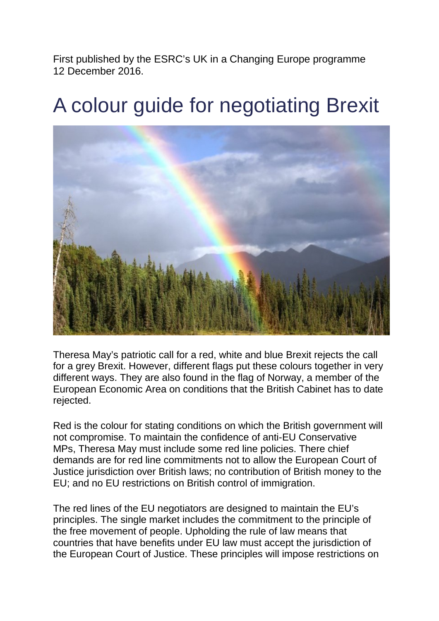First published by the ESRC's UK in a Changing Europe programme 12 December 2016.

## A colour guide for negotiating Brexit



Theresa May's patriotic call for a red, white and blue Brexit rejects the call for a grey Brexit. However, different flags put these colours together in very different ways. They are also found in the flag of Norway, a member of the European Economic Area on conditions that the British Cabinet has to date rejected.

Red is the colour for stating conditions on which the British government will not compromise. To maintain the confidence of anti-EU Conservative MPs, Theresa May must include some red line policies. There chief demands are for red line commitments not to allow the European Court of Justice jurisdiction over British laws; no contribution of British money to the EU; and no EU restrictions on British control of immigration.

The red lines of the EU negotiators are designed to maintain the EU's principles. The single market includes the commitment to the principle of the free movement of people. Upholding the rule of law means that countries that have benefits under EU law must accept the jurisdiction of the European Court of Justice. These principles will impose restrictions on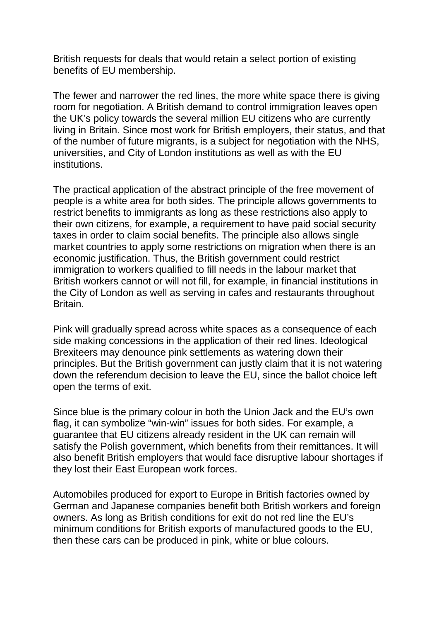British requests for deals that would retain a select portion of existing benefits of EU membership.

The fewer and narrower the red lines, the more white space there is giving room for negotiation. A British demand to control immigration leaves open the UK's policy towards the several million EU citizens who are currently living in Britain. Since most work for British employers, their status, and that of the number of future migrants, is a subject for negotiation with the NHS, universities, and City of London institutions as well as with the EU institutions.

The practical application of the abstract principle of the free movement of people is a white area for both sides. The principle allows governments to restrict benefits to immigrants as long as these restrictions also apply to their own citizens, for example, a requirement to have paid social security taxes in order to claim social benefits. The principle also allows single market countries to apply some restrictions on migration when there is an economic justification. Thus, the British government could restrict immigration to workers qualified to fill needs in the labour market that British workers cannot or will not fill, for example, in financial institutions in the City of London as well as serving in cafes and restaurants throughout Britain.

Pink will gradually spread across white spaces as a consequence of each side making concessions in the application of their red lines. Ideological Brexiteers may denounce pink settlements as watering down their principles. But the British government can justly claim that it is not watering down the referendum decision to leave the EU, since the ballot choice left open the terms of exit.

Since blue is the primary colour in both the Union Jack and the EU's own flag, it can symbolize "win-win" issues for both sides. For example, a guarantee that EU citizens already resident in the UK can remain will satisfy the Polish government, which benefits from their remittances. It will also benefit British employers that would face disruptive labour shortages if they lost their East European work forces.

Automobiles produced for export to Europe in British factories owned by German and Japanese companies benefit both British workers and foreign owners. As long as British conditions for exit do not red line the EU's minimum conditions for British exports of manufactured goods to the EU, then these cars can be produced in pink, white or blue colours.